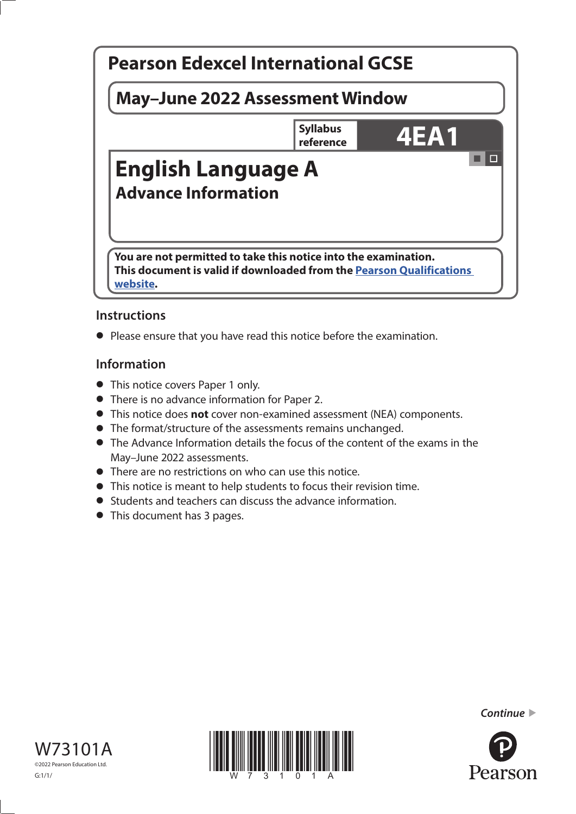

# **Instructions**

**•** Please ensure that you have read this notice before the examination.

# **Information**

- **•** This notice covers Paper 1 only.
- **•** There is no advance information for Paper 2.
- **•** This notice does **not** cover non-examined assessment (NEA) components.
- **•** The format/structure of the assessments remains unchanged.
- **•** The Advance Information details the focus of the content of the exams in the May–June 2022 assessments.
- **•** There are no restrictions on who can use this notice.
- **•** This notice is meant to help students to focus their revision time.
- **•** Students and teachers can discuss the advance information.
- **•** This document has 3 pages.







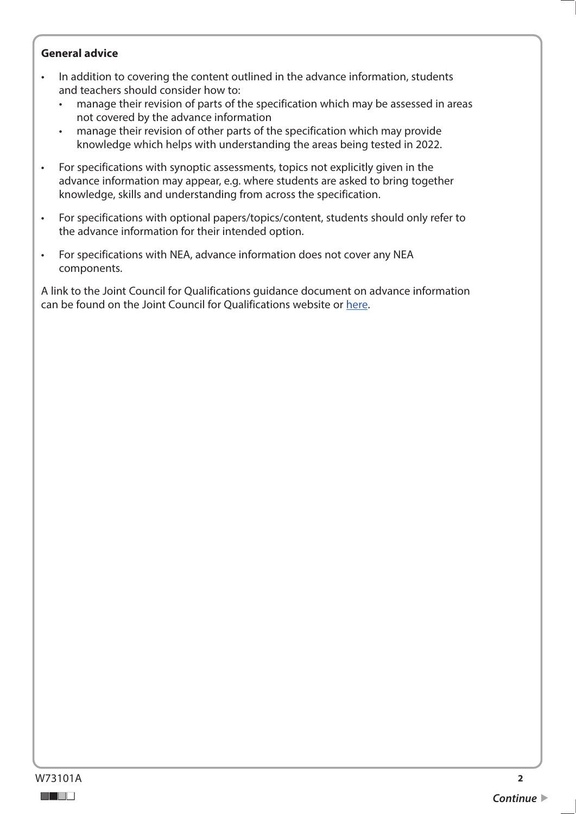### **General advice**

- In addition to covering the content outlined in the advance information, students and teachers should consider how to:
	- manage their revision of parts of the specification which may be assessed in areas not covered by the advance information
	- manage their revision of other parts of the specification which may provide knowledge which helps with understanding the areas being tested in 2022.
- For specifications with synoptic assessments, topics not explicitly given in the advance information may appear, e.g. where students are asked to bring together knowledge, skills and understanding from across the specification.
- For specifications with optional papers/topics/content, students should only refer to the advance information for their intended option.
- For specifications with NEA, advance information does not cover any NEA components.

A link to the Joint Council for Qualifications guidance document on advance information can be found on the Joint Council for Qualifications website or [here](https://www.jcq.org.uk/wp-content/uploads/2021/10/Advance-Information-for-General-Qualifications-2021-22.pdf).